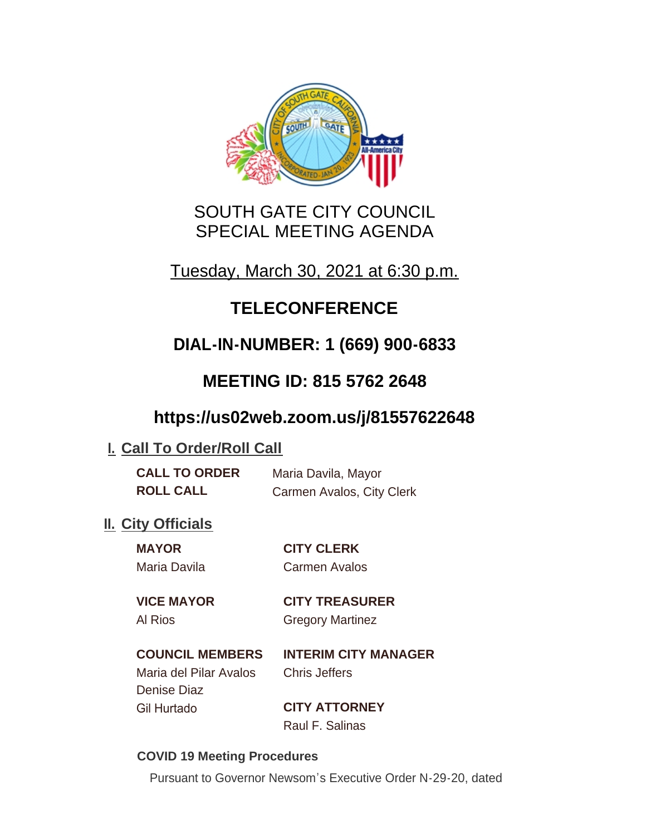

# SOUTH GATE CITY COUNCIL SPECIAL MEETING AGENDA

Tuesday, March 30, 2021 at 6:30 p.m.

# **TELECONFERENCE**

# **DIAL-IN-NUMBER: 1 (669) 900-6833**

## **MEETING ID: 815 5762 2648**

## **https://us02web.zoom.us/j/81557622648**

## **I. Call To Order/Roll Call**

| <b>CALL TO ORDER</b> | Maria Davila, Mayor       |
|----------------------|---------------------------|
| <b>ROLL CALL</b>     | Carmen Avalos, City Clerk |

## **II.** City Officials

| <b>MAYOR</b> | <b>CITY CLERK</b>    |
|--------------|----------------------|
| Maria Davila | <b>Carmen Avalos</b> |
|              |                      |

### **VICE MAYOR CITY TREASURER**

Al Rios **Gregory Martinez** 

## **COUNCIL MEMBERS INTERIM CITY MANAGER**

Maria del Pilar Avalos Chris Jeffers Denise Diaz Gil Hurtado **CITY ATTORNEY**

Raul F. Salinas

#### **COVID 19 Meeting Procedures**

Pursuant to Governor Newsom's Executive Order N-29-20, dated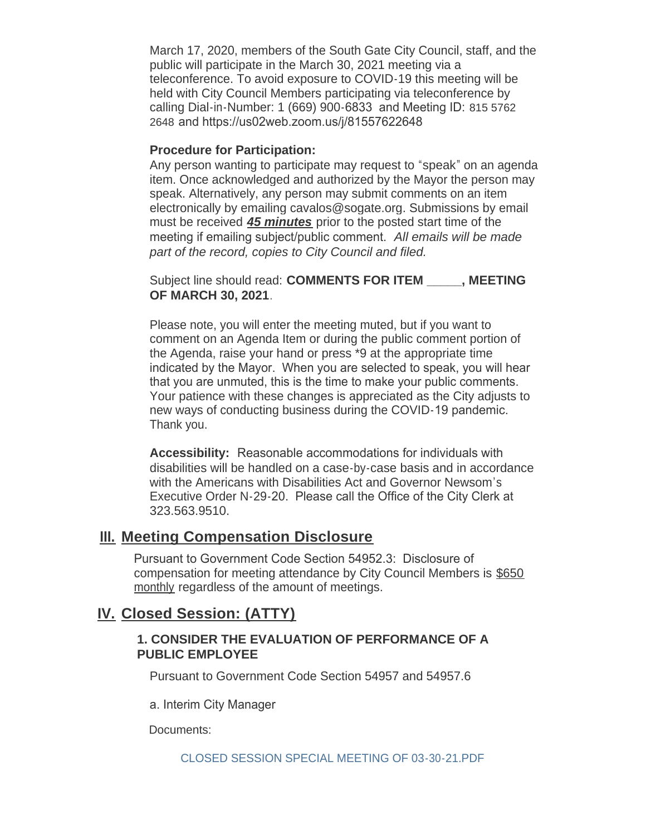March 17, 2020, members of the South Gate City Council, staff, and the public will participate in the March 30, 2021 meeting via a teleconference. To avoid exposure to COVID-19 this meeting will be held with City Council Members participating via teleconference by calling Dial-in-Number: 1 (669) 900-6833 and Meeting ID: 815 5762 2648 and https://us02web.zoom.us/j/81557622648

#### **Procedure for Participation:**

Any person wanting to participate may request to "speak" on an agenda item. Once acknowledged and authorized by the Mayor the person may speak. Alternatively, any person may submit comments on an item electronically by emailing cavalos@sogate.org. Submissions by email must be received *45 minutes* prior to the posted start time of the meeting if emailing subject/public comment. *All emails will be made part of the record, copies to City Council and filed.*

Subject line should read: **COMMENTS FOR ITEM \_\_\_\_\_, MEETING OF MARCH 30, 2021**.

Please note, you will enter the meeting muted, but if you want to comment on an Agenda Item or during the public comment portion of the Agenda, raise your hand or press \*9 at the appropriate time indicated by the Mayor. When you are selected to speak, you will hear that you are unmuted, this is the time to make your public comments. Your patience with these changes is appreciated as the City adjusts to new ways of conducting business during the COVID-19 pandemic. Thank you.

**Accessibility:** Reasonable accommodations for individuals with disabilities will be handled on a case-by-case basis and in accordance with the Americans with Disabilities Act and Governor Newsom's Executive Order N-29-20. Please call the Office of the City Clerk at 323.563.9510.

#### **Meeting Compensation Disclosure III.**

Pursuant to Government Code Section 54952.3: Disclosure of compensation for meeting attendance by City Council Members is \$650 monthly regardless of the amount of meetings.

### **Closed Session: (ATTY) IV.**

#### **1. CONSIDER THE EVALUATION OF PERFORMANCE OF A PUBLIC EMPLOYEE**

Pursuant to Government Code Section 54957 and 54957.6

a. Interim City Manager

Documents: